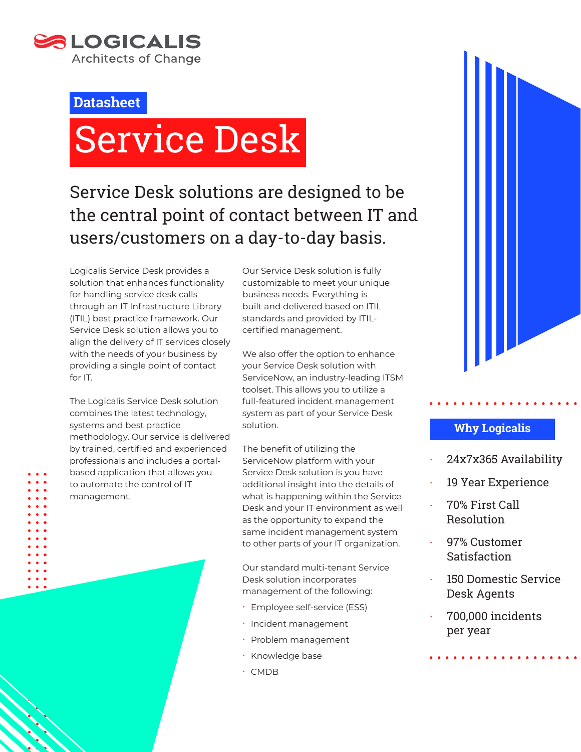

# **Datasheet**

# Service Desk

# Service Desk solutions are designed to be the central point of contact between IT and users/customers on a day-to-day basis.

Logicalis Service Desk provides a solution that enhances functionality for handling service desk calls through an IT Infrastructure Library (ITIL) best practice framework. Our Service Desk solution allows you to align the delivery of IT services closely with the needs of your business by providing a single point of contact for IT.

The Logicalis Service Desk solution combines the latest technology, systems and best practice methodology. Our service is delivered by trained, certified and experienced professionals and includes a portalbased application that allows you to automate the control of IT management.

Our Service Desk solution is fully customizable to meet your unique business needs. Everything is built and delivered based on ITIL standards and provided by ITILcertified management.

We also offer the option to enhance your Service Desk solution with ServiceNow, an industry-leading ITSM toolset. This allows you to utilize a full-featured incident management system as part of your Service Desk solution.

The benefit of utilizing the ServiceNow platform with your Service Desk solution is you have additional insight into the details of what is happening within the Service Desk and your IT environment as well as the opportunity to expand the same incident management system to other parts of your IT organization.

Our standard multi-tenant Service Desk solution incorporates management of the following:

- **· Employee self-service (ESS)**
- x Incident management
- Problem management
- · Knowledge base
- $\cdot$  CMDB



# **Why Logicalis**

- x 24x7x365 Availability
- 19 Year Experience
- x 70% First Call Resolution
- 97% Customer **Satisfaction**
- 150 Domestic Service Desk Agents
- x 700,000 incidents per year